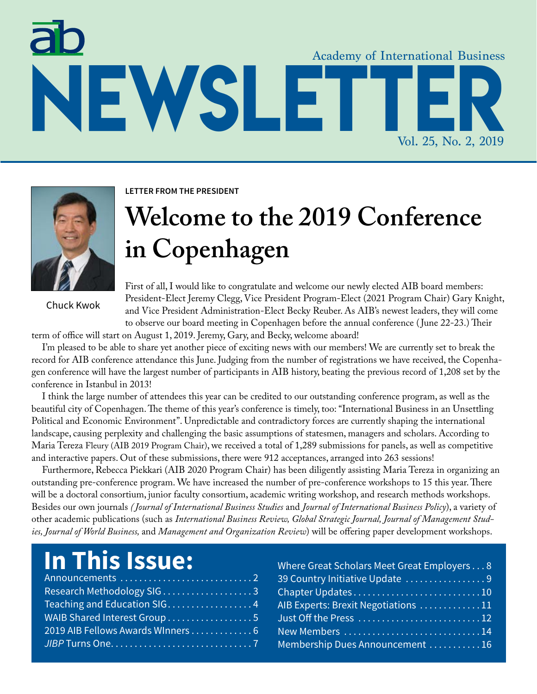# Academy of International Business **Newsletter** Vol. 25, No. 2, 2019



Chuck Kwok

**Letter from the president**

## **Welcome to the 2019 Conference in Copenhagen**

First of all, I would like to congratulate and welcome our newly elected AIB board members: President-Elect Jeremy Clegg, Vice President Program-Elect (2021 Program Chair) Gary Knight, and Vice President Administration-Elect Becky Reuber. As AIB's newest leaders, they will come to observe our board meeting in Copenhagen before the annual conference ( June 22-23.) Their

term of office will start on August 1, 2019. Jeremy, Gary, and Becky, welcome aboard!

I'm pleased to be able to share yet another piece of exciting news with our members! We are currently set to break the record for AIB conference attendance this June. Judging from the number of registrations we have received, the Copenhagen conference will have the largest number of participants in AIB history, beating the previous record of 1,208 set by the conference in Istanbul in 2013!

I think the large number of attendees this year can be credited to our outstanding conference program, as well as the beautiful city of Copenhagen. The theme of this year's conference is timely, too: "International Business in an Unsettling Political and Economic Environment". Unpredictable and contradictory forces are currently shaping the international landscape, causing perplexity and challenging the basic assumptions of statesmen, managers and scholars. According to Maria Tereza Fleury (AIB 2019 Program Chair), we received a total of 1,289 submissions for panels, as well as competitive and interactive papers. Out of these submissions, there were 912 acceptances, arranged into 263 sessions!

Furthermore, Rebecca Piekkari (AIB 2020 Program Chair) has been diligently assisting Maria Tereza in organizing an outstanding pre-conference program. We have increased the number of pre-conference workshops to 15 this year. There will be a doctoral consortium, junior faculty consortium, academic writing workshop, and research methods workshops. Besides our own journals *( Journal of International Business Studies* and *Journal of International Business Policy*), a variety of other academic publications (such as *International Business Review, Global Strategic Journal, Journal of Management Studies, Journal of World Business,* and *Management and Organization Review*) will be offering paper development workshops.

## **In This Issue:**

| Teaching and Education SIG4       |  |
|-----------------------------------|--|
| WAIB Shared Interest Group 5      |  |
| 2019 AIB Fellows Awards Winners 6 |  |
|                                   |  |

| Where Great Scholars Meet Great Employers8 |  |
|--------------------------------------------|--|
| 39 Country Initiative Update 9             |  |
|                                            |  |
| AIB Experts: Brexit Negotiations 11        |  |
|                                            |  |
|                                            |  |
| Membership Dues Announcement  16           |  |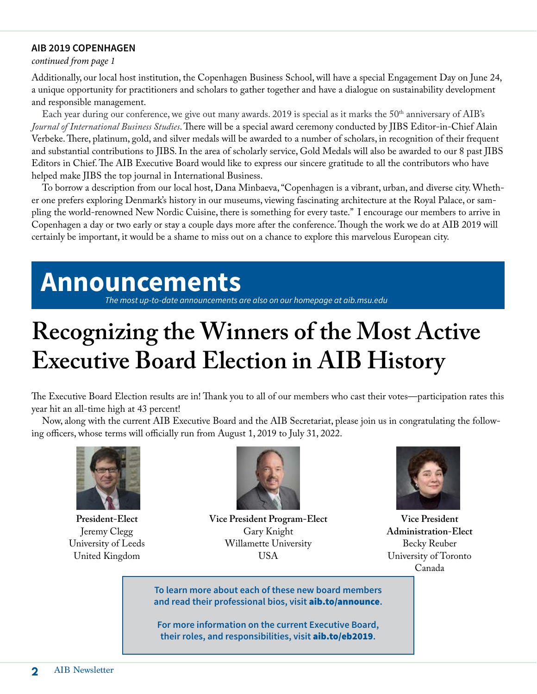#### **AIB 2019 Copenhagen**

#### *continued from page 1*

Additionally, our local host institution, the Copenhagen Business School, will have a special Engagement Day on June 24, a unique opportunity for practitioners and scholars to gather together and have a dialogue on sustainability development and responsible management.

Each year during our conference, we give out many awards. 2019 is special as it marks the 50<sup>th</sup> anniversary of AIB's *Journal of International Business Studies*. There will be a special award ceremony conducted by JIBS Editor-in-Chief Alain Verbeke. There, platinum, gold, and silver medals will be awarded to a number of scholars, in recognition of their frequent and substantial contributions to JIBS. In the area of scholarly service, Gold Medals will also be awarded to our 8 past JIBS Editors in Chief. The AIB Executive Board would like to express our sincere gratitude to all the contributors who have helped make JIBS the top journal in International Business.

To borrow a description from our local host, Dana Minbaeva, "Copenhagen is a vibrant, urban, and diverse city. Whether one prefers exploring Denmark's history in our museums, viewing fascinating architecture at the Royal Palace, or sampling the world-renowned New Nordic Cuisine, there is something for every taste." I encourage our members to arrive in Copenhagen a day or two early or stay a couple days more after the conference. Though the work we do at AIB 2019 will certainly be important, it would be a shame to miss out on a chance to explore this marvelous European city.

## **Announcements**

*The most up-to-date announcements are also on our homepage at [aib.msu.edu](http://aib.msu.edu)*

## **Recognizing the Winners of the Most Active Executive Board Election in AIB History**

The Executive Board Election results are in! Thank you to all of our members who cast their votes—participation rates this year hit an all-time high at 43 percent!

Now, along with the current AIB Executive Board and the AIB Secretariat, please join us in congratulating the following officers, whose terms will officially run from August 1, 2019 to July 31, 2022.



**President-Elect** Jeremy Clegg University of Leeds United Kingdom



**Vice President Program-Elect** Gary Knight Willamette University USA



**Vice President Administration-Elect** Becky Reuber University of Toronto Canada

**To learn more about each of these new board members and read their professional bios, visit** aib.to/announce**.**

**For more information on the current Executive Board, their roles, and responsibilities, visit** aib.to/eb2019**.**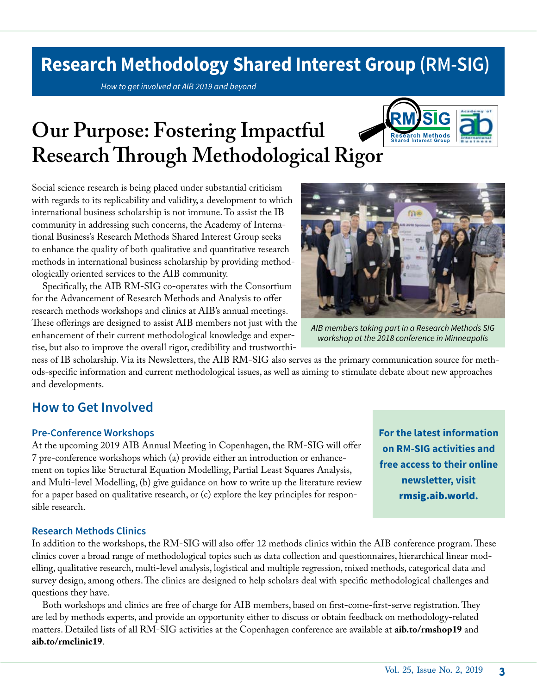### **Research Methodology Shared Interest Group (RM-SIG)**

*How to get involved at AIB 2019 and beyond*

## **Our Purpose: Fostering Impactful Research Through Methodological Rigor**



Social science research is being placed under substantial criticism with regards to its replicability and validity, a development to which international business scholarship is not immune. To assist the IB community in addressing such concerns, the Academy of International Business's Research Methods Shared Interest Group seeks to enhance the quality of both qualitative and quantitative research methods in international business scholarship by providing methodologically oriented services to the AIB community.

Specifically, the AIB RM-SIG co-operates with the Consortium for the Advancement of Research Methods and Analysis to offer research methods workshops and clinics at AIB's annual meetings. These offerings are designed to assist AIB members not just with the enhancement of their current methodological knowledge and expertise, but also to improve the overall rigor, credibility and trustworthi-



*AIB members taking part in a Research Methods SIG workshop at the 2018 conference in Minneapolis*

ness of IB scholarship. Via its Newsletters, the AIB RM-SIG also serves as the primary communication source for methods-specific information and current methodological issues, as well as aiming to stimulate debate about new approaches and developments.

#### **How to Get Involved**

#### **Pre-Conference Workshops**

At the upcoming 2019 AIB Annual Meeting in Copenhagen, the RM-SIG will offer 7 pre-conference workshops which (a) provide either an introduction or enhancement on topics like Structural Equation Modelling, Partial Least Squares Analysis, and Multi-level Modelling, (b) give guidance on how to write up the literature review for a paper based on qualitative research, or (c) explore the key principles for responsible research.

**For the latest information on RM-SIG activities and free access to their online newsletter, visit**  rmsig.aib.world**.**

#### **Research Methods Clinics**

In addition to the workshops, the RM-SIG will also offer 12 methods clinics within the AIB conference program. These clinics cover a broad range of methodological topics such as data collection and questionnaires, hierarchical linear modelling, qualitative research, multi-level analysis, logistical and multiple regression, mixed methods, categorical data and survey design, among others. The clinics are designed to help scholars deal with specific methodological challenges and questions they have.

Both workshops and clinics are free of charge for AIB members, based on first-come-first-serve registration. They are led by methods experts, and provide an opportunity either to discuss or obtain feedback on methodology-related matters. Detailed lists of all RM-SIG activities at the Copenhagen conference are available at **aib.to/rmshop19** and **aib.to/rmclinic19**.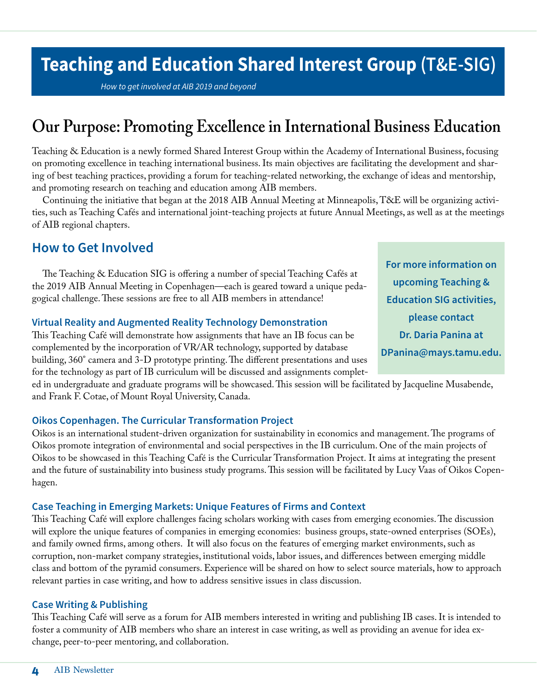### **Teaching and Education Shared Interest Group (T&E-SIG)**

*How to get involved at AIB 2019 and beyond*

### **Our Purpose: Promoting Excellence in International Business Education**

Teaching & Education is a newly formed Shared Interest Group within the Academy of International Business, focusing on promoting excellence in teaching international business. Its main objectives are facilitating the development and sharing of best teaching practices, providing a forum for teaching-related networking, the exchange of ideas and mentorship, and promoting research on teaching and education among AIB members.

Continuing the initiative that began at the 2018 AIB Annual Meeting at Minneapolis, T&E will be organizing activities, such as Teaching Cafés and international joint-teaching projects at future Annual Meetings, as well as at the meetings of AIB regional chapters.

#### **How to Get Involved**

The Teaching & Education SIG is offering a number of special Teaching Cafés at the 2019 AIB Annual Meeting in Copenhagen—each is geared toward a unique pedagogical challenge. These sessions are free to all AIB members in attendance!

#### **Virtual Reality and Augmented Reality Technology Demonstration**

This Teaching Café will demonstrate how assignments that have an IB focus can be complemented by the incorporation of VR/AR technology, supported by database building, 360° camera and 3-D prototype printing. The different presentations and uses for the technology as part of IB curriculum will be discussed and assignments complet-

ed in undergraduate and graduate programs will be showcased. This session will be facilitated by Jacqueline Musabende, and Frank F. Cotae, of Mount Royal University, Canada.

#### **Oikos Copenhagen. The Curricular Transformation Project**

Oikos is an international student-driven organization for sustainability in economics and management. The programs of Oikos promote integration of environmental and social perspectives in the IB curriculum. One of the main projects of Oikos to be showcased in this Teaching Café is the Curricular Transformation Project. It aims at integrating the present and the future of sustainability into business study programs. This session will be facilitated by Lucy Vaas of Oikos Copenhagen.

#### **Case Teaching in Emerging Markets: Unique Features of Firms and Context**

This Teaching Café will explore challenges facing scholars working with cases from emerging economies. The discussion will explore the unique features of companies in emerging economies: business groups, state-owned enterprises (SOEs), and family owned firms, among others. It will also focus on the features of emerging market environments, such as corruption, non-market company strategies, institutional voids, labor issues, and differences between emerging middle class and bottom of the pyramid consumers. Experience will be shared on how to select source materials, how to approach relevant parties in case writing, and how to address sensitive issues in class discussion.

#### **Case Writing & Publishing**

This Teaching Café will serve as a forum for AIB members interested in writing and publishing IB cases. It is intended to foster a community of AIB members who share an interest in case writing, as well as providing an avenue for idea exchange, peer-to-peer mentoring, and collaboration.

**For more information on upcoming Teaching & Education SIG activities, please contact Dr. Daria Panina at [DPanina@mays.tamu.edu.](mailto:DPanina@mays.tamu.edu)**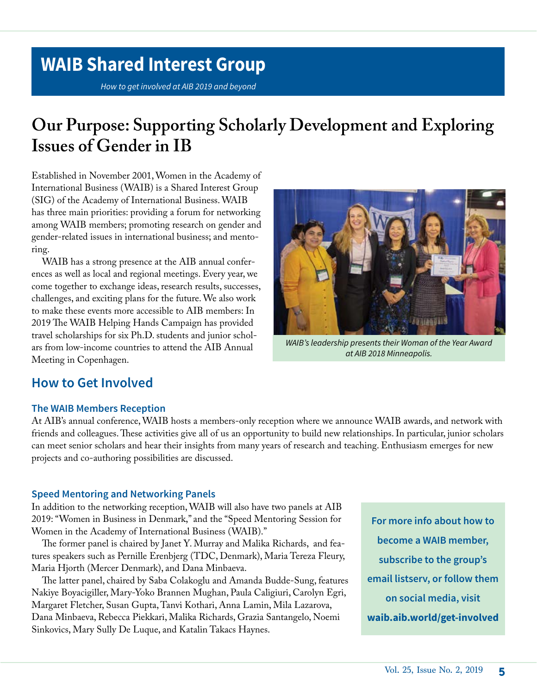### **WAIB Shared Interest Group**

*How to get involved at AIB 2019 and beyond*

### **Our Purpose: Supporting Scholarly Development and Exploring Issues of Gender in IB**

Established in November 2001, Women in the Academy of International Business (WAIB) is a Shared Interest Group (SIG) of the Academy of International Business. WAIB has three main priorities: providing a forum for networking among WAIB members; promoting research on gender and gender-related issues in international business; and mentoring.

WAIB has a strong presence at the AIB annual conferences as well as local and regional meetings. Every year, we come together to exchange ideas, research results, successes, challenges, and exciting plans for the future. We also work to make these events more accessible to AIB members: In 2019 The WAIB Helping Hands Campaign has provided travel scholarships for six Ph.D. students and junior scholars from low-income countries to attend the AIB Annual Meeting in Copenhagen.



*WAIB's leadership presents their Woman of the Year Award at AIB 2018 Minneapolis.*

#### **How to Get Involved**

#### **The WAIB Members Reception**

At AIB's annual conference, WAIB hosts a members-only reception where we announce WAIB awards, and network with friends and colleagues. These activities give all of us an opportunity to build new relationships. In particular, junior scholars can meet senior scholars and hear their insights from many years of research and teaching. Enthusiasm emerges for new projects and co-authoring possibilities are discussed.

#### **Speed Mentoring and Networking Panels**

In addition to the networking reception, WAIB will also have two panels at AIB 2019: "Women in Business in Denmark," and the "Speed Mentoring Session for Women in the Academy of International Business (WAIB)."

The former panel is chaired by Janet Y. Murray and Malika Richards, and features speakers such as Pernille Erenbjerg (TDC, Denmark), Maria Tereza Fleury, Maria Hjorth (Mercer Denmark), and Dana Minbaeva.

The latter panel, chaired by Saba Colakoglu and Amanda Budde-Sung, features Nakiye Boyacigiller, Mary-Yoko Brannen Mughan, Paula Caligiuri, Carolyn Egri, Margaret Fletcher, Susan Gupta, Tanvi Kothari, Anna Lamin, Mila Lazarova, Dana Minbaeva, Rebecca Piekkari, Malika Richards, Grazia Santangelo, Noemi Sinkovics, Mary Sully De Luque, and Katalin Takacs Haynes.

**For more info about how to become a WAIB member, subscribe to the group's email listserv, or follow them on social media, visit waib.aib.world/get-involved**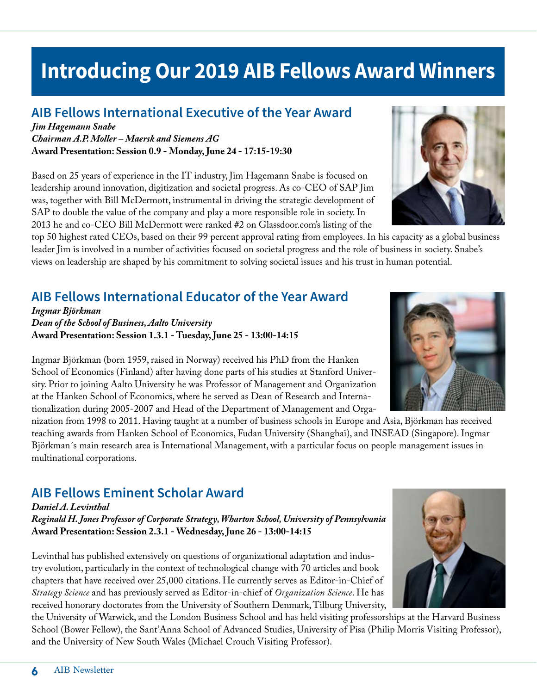### **Introducing Our 2019 AIB Fellows Award Winners**

#### **AIB Fellows International Executive of the Year Award**

*Jim Hagemann Snabe Chairman A.P. Moller – Maersk and Siemens AG* **Award Presentation: Session 0.9 - Monday, June 24 - 17:15-19:30**

Based on 25 years of experience in the IT industry, Jim Hagemann Snabe is focused on leadership around innovation, digitization and societal progress. As co-CEO of SAP Jim was, together with Bill McDermott, instrumental in driving the strategic development of SAP to double the value of the company and play a more responsible role in society. In 2013 he and co-CEO Bill McDermott were ranked #2 on Glassdoor.com's listing of the

top 50 highest rated CEOs, based on their 99 percent approval rating from employees. In his capacity as a global business leader Jim is involved in a number of activities focused on societal progress and the role of business in society. Snabe's views on leadership are shaped by his commitment to solving societal issues and his trust in human potential.

#### **AIB Fellows International Educator of the Year Award**

*Ingmar Björkman Dean of the School of Business, Aalto University* **Award Presentation: Session 1.3.1 - Tuesday, June 25 - 13:00-14:15**

Ingmar Björkman (born 1959, raised in Norway) received his PhD from the Hanken School of Economics (Finland) after having done parts of his studies at Stanford University. Prior to joining Aalto University he was Professor of Management and Organization at the Hanken School of Economics, where he served as Dean of Research and Internationalization during 2005-2007 and Head of the Department of Management and Orga-

nization from 1998 to 2011. Having taught at a number of business schools in Europe and Asia, Björkman has received teaching awards from Hanken School of Economics, Fudan University (Shanghai), and INSEAD (Singapore). Ingmar Björkman´s main research area is International Management, with a particular focus on people management issues in multinational corporations.

#### **AIB Fellows Eminent Scholar Award**

*Daniel A. Levinthal Reginald H. Jones Professor of Corporate Strategy, Wharton School, University of Pennsylvania* **Award Presentation: Session 2.3.1 - Wednesday, June 26 - 13:00-14:15**

Levinthal has published extensively on questions of organizational adaptation and industry evolution, particularly in the context of technological change with 70 articles and book chapters that have received over 25,000 citations. He currently serves as Editor-in-Chief of *Strategy Science* and has previously served as Editor-in-chief of *Organization Science*. He has received honorary doctorates from the University of Southern Denmark, Tilburg University,

the University of Warwick, and the London Business School and has held visiting professorships at the Harvard Business School (Bower Fellow), the Sant'Anna School of Advanced Studies, University of Pisa (Philip Morris Visiting Professor), and the University of New South Wales (Michael Crouch Visiting Professor).







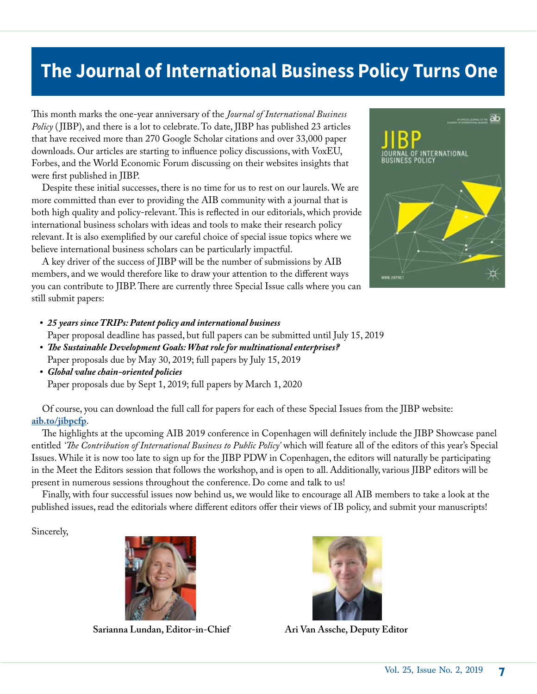### **The Journal of International Business Policy Turns One**

This month marks the one-year anniversary of the *Journal of International Business Policy* ( JIBP), and there is a lot to celebrate. To date, JIBP has published 23 articles that have received more than 270 Google Scholar citations and over 33,000 paper downloads. Our articles are starting to influence policy discussions, with VoxEU, Forbes, and the World Economic Forum discussing on their websites insights that were first published in JIBP.

Despite these initial successes, there is no time for us to rest on our laurels. We are more committed than ever to providing the AIB community with a journal that is both high quality and policy-relevant. This is reflected in our editorials, which provide international business scholars with ideas and tools to make their research policy relevant. It is also exemplified by our careful choice of special issue topics where we believe international business scholars can be particularly impactful.

A key driver of the success of JIBP will be the number of submissions by AIB members, and we would therefore like to draw your attention to the different ways you can contribute to JIBP. There are currently three Special Issue calls where you can still submit papers:



#### *• 25 years since TRIPs: Patent policy and international business*

Paper proposal deadline has passed, but full papers can be submitted until July 15, 2019

- *• The Sustainable Development Goals: What role for multinational enterprises?* Paper proposals due by May 30, 2019; full papers by July 15, 2019
- *• Global value chain-oriented policies* Paper proposals due by Sept 1, 2019; full papers by March 1, 2020

Of course, you can download the full call for papers for each of these Special Issues from the JIBP website: **[aib.to/jibpcfp](https://www.palgrave.com/gp/journal/42214/authors/calls-for-papers)**.

The highlights at the upcoming AIB 2019 conference in Copenhagen will definitely include the JIBP Showcase panel entitled *'The Contribution of International Business to Public Policy'* which will feature all of the editors of this year's Special Issues. While it is now too late to sign up for the JIBP PDW in Copenhagen, the editors will naturally be participating in the Meet the Editors session that follows the workshop, and is open to all. Additionally, various JIBP editors will be present in numerous sessions throughout the conference. Do come and talk to us!

Finally, with four successful issues now behind us, we would like to encourage all AIB members to take a look at the published issues, read the editorials where different editors offer their views of IB policy, and submit your manuscripts!

Sincerely,



**Sarianna Lundan, Editor-in-Chief Ari Van Assche, Deputy Editor**

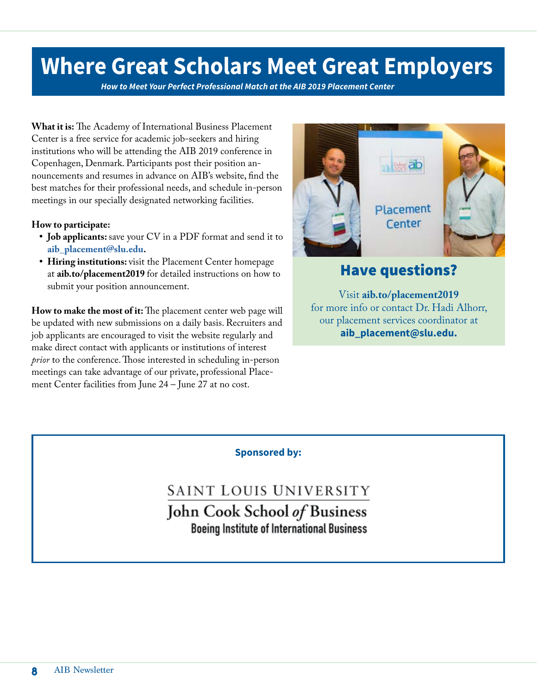## **Where Great Scholars Meet Great Employers**

*How to Meet Your Perfect Professional Match at the AIB 2019 Placement Center*

**What it is:** The Academy of International Business Placement Center is a free service for academic job-seekers and hiring institutions who will be attending the AIB 2019 conference in Copenhagen, Denmark. Participants post their position announcements and resumes in advance on AIB's website, find the best matches for their professional needs, and schedule in-person meetings in our specially designated networking facilities.

#### **How to participate:**

- **Job applicants:** save your CV in a PDF format and send it to **[aib\\_placement@slu.edu.](mailto:aib_placement@slu.edu)**
- **• Hiring institutions:** visit the Placement Center homepage at **aib.to/placement2019** for detailed instructions on how to submit your position announcement.

**How to make the most of it:** The placement center web page will be updated with new submissions on a daily basis. Recruiters and job applicants are encouraged to visit the website regularly and make direct contact with applicants or institutions of interest *prior* to the conference. Those interested in scheduling in-person meetings can take advantage of our private, professional Placement Center facilities from June 24 – June 27 at no cost.



#### Have questions?

Visit **aib.to/placement2019**  for more info or contact Dr. Hadi Alhorr, our placement services coordinator at **[aib\\_placement@slu.edu.](mailto:aib_placement@slu.edu)** 

#### **Sponsored by:**

SAINT LOUIS UNIVERSITY John Cook School of Business **Boeing Institute of International Business**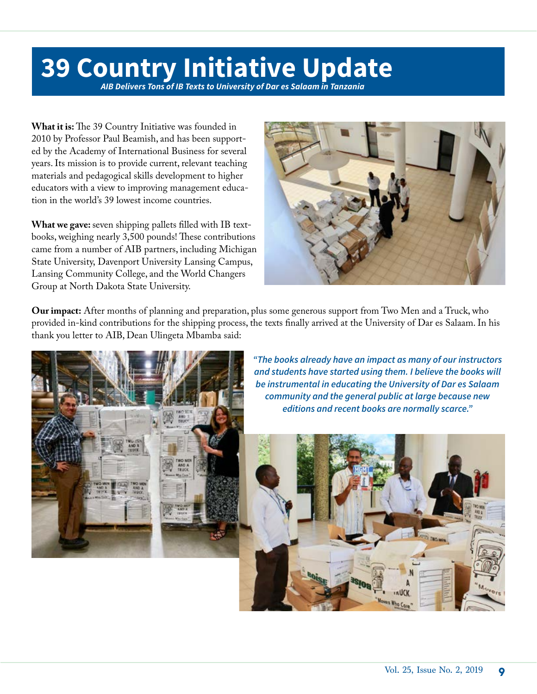## **39 Country Initiative Update**

*AIB Delivers Tons of IB Texts to University of Dar es Salaam in Tanzania*

**What it is:** The 39 Country Initiative was founded in 2010 by Professor Paul Beamish, and has been supported by the Academy of International Business for several years. Its mission is to provide current, relevant teaching materials and pedagogical skills development to higher educators with a view to improving management education in the world's 39 lowest income countries.

**What we gave:** seven shipping pallets filled with IB textbooks, weighing nearly 3,500 pounds! These contributions came from a number of AIB partners, including Michigan State University, Davenport University Lansing Campus, Lansing Community College, and the World Changers Group at North Dakota State University.



**Our impact:** After months of planning and preparation, plus some generous support from Two Men and a Truck, who provided in-kind contributions for the shipping process, the texts finally arrived at the University of Dar es Salaam. In his thank you letter to AIB, Dean Ulingeta Mbamba said:



*"The books already have an impact as many of our instructors and students have started using them. I believe the books will be instrumental in educating the University of Dar es Salaam community and the general public at large because new editions and recent books are normally scarce."*

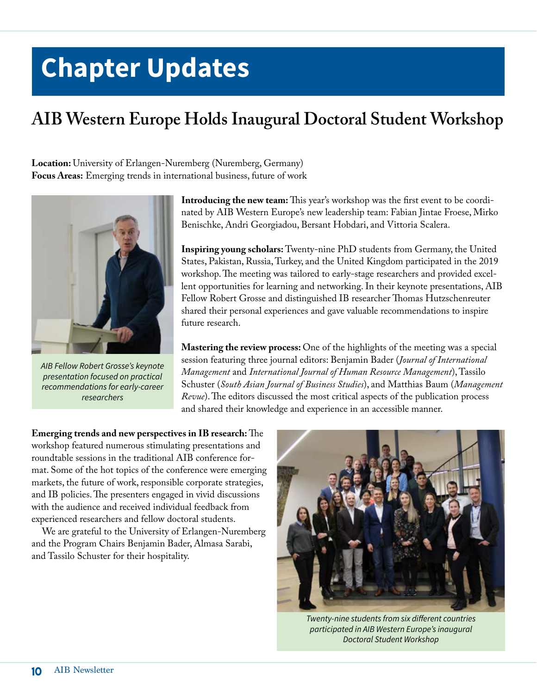## **Chapter Updates**

### **AIB Western Europe Holds Inaugural Doctoral Student Workshop**

**Location:** University of Erlangen-Nuremberg (Nuremberg, Germany) **Focus Areas:** Emerging trends in international business, future of work



*AIB Fellow Robert Grosse's keynote presentation focused on practical recommendations for early-career researchers*

**Introducing the new team:** This year's workshop was the first event to be coordinated by AIB Western Europe's new leadership team: Fabian Jintae Froese, Mirko Benischke, Andri Georgiadou, Bersant Hobdari, and Vittoria Scalera.

**Inspiring young scholars:** Twenty-nine PhD students from Germany, the United States, Pakistan, Russia, Turkey, and the United Kingdom participated in the 2019 workshop. The meeting was tailored to early-stage researchers and provided excellent opportunities for learning and networking. In their keynote presentations, AIB Fellow Robert Grosse and distinguished IB researcher Thomas Hutzschenreuter shared their personal experiences and gave valuable recommendations to inspire future research.

**Mastering the review process:** One of the highlights of the meeting was a special session featuring three journal editors: Benjamin Bader (*Journal of International Management* and *International Journal of Human Resource Management*), Tassilo Schuster (*South Asian Journal of Business Studies*), and Matthias Baum (*Management Revue*). The editors discussed the most critical aspects of the publication process and shared their knowledge and experience in an accessible manner.

**Emerging trends and new perspectives in IB research:** The workshop featured numerous stimulating presentations and roundtable sessions in the traditional AIB conference format. Some of the hot topics of the conference were emerging markets, the future of work, responsible corporate strategies, and IB policies. The presenters engaged in vivid discussions with the audience and received individual feedback from experienced researchers and fellow doctoral students.

We are grateful to the University of Erlangen-Nuremberg and the Program Chairs Benjamin Bader, Almasa Sarabi, and Tassilo Schuster for their hospitality.



*Twenty-nine students from six different countries participated in AIB Western Europe's inaugural Doctoral Student Workshop*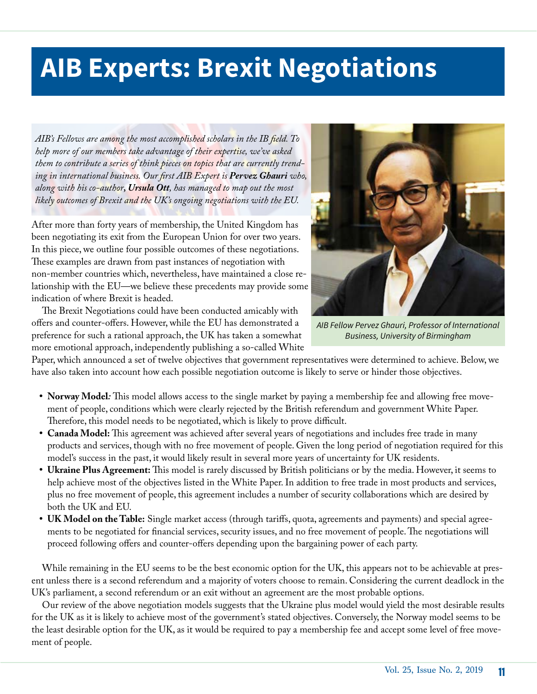## **AIB Experts: Brexit Negotiations**

*AIB's Fellows are among the most accomplished scholars in the IB field. To help more of our members take advantage of their expertise, we've asked them to contribute a series of think pieces on topics that are currently trending in international business. Our first AIB Expert is Pervez Ghauri who, along with his co-author, Ursula Ott, has managed to map out the most likely outcomes of Brexit and the UK's ongoing negotiations with the EU.*

After more than forty years of membership, the United Kingdom has been negotiating its exit from the European Union for over two years. In this piece, we outline four possible outcomes of these negotiations. These examples are drawn from past instances of negotiation with non-member countries which, nevertheless, have maintained a close relationship with the EU—we believe these precedents may provide some indication of where Brexit is headed.

The Brexit Negotiations could have been conducted amicably with offers and counter-offers. However, while the EU has demonstrated a preference for such a rational approach, the UK has taken a somewhat more emotional approach, independently publishing a so-called White



*AIB Fellow Pervez Ghauri, Professor of International Business, University of Birmingham*

Paper, which announced a set of twelve objectives that government representatives were determined to achieve. Below, we have also taken into account how each possible negotiation outcome is likely to serve or hinder those objectives.

- **Norway Model***:* This model allows access to the single market by paying a membership fee and allowing free movement of people, conditions which were clearly rejected by the British referendum and government White Paper. Therefore, this model needs to be negotiated, which is likely to prove difficult.
- **• Canada Model:** This agreement was achieved after several years of negotiations and includes free trade in many products and services, though with no free movement of people. Given the long period of negotiation required for this model's success in the past, it would likely result in several more years of uncertainty for UK residents.
- **• Ukraine Plus Agreement:** This model is rarely discussed by British politicians or by the media. However, it seems to help achieve most of the objectives listed in the White Paper. In addition to free trade in most products and services, plus no free movement of people, this agreement includes a number of security collaborations which are desired by both the UK and EU.
- **• UK Model on the Table:** Single market access (through tariffs, quota, agreements and payments) and special agreements to be negotiated for financial services, security issues, and no free movement of people. The negotiations will proceed following offers and counter-offers depending upon the bargaining power of each party.

While remaining in the EU seems to be the best economic option for the UK, this appears not to be achievable at present unless there is a second referendum and a majority of voters choose to remain. Considering the current deadlock in the UK's parliament, a second referendum or an exit without an agreement are the most probable options.

Our review of the above negotiation models suggests that the Ukraine plus model would yield the most desirable results for the UK as it is likely to achieve most of the government's stated objectives. Conversely, the Norway model seems to be the least desirable option for the UK, as it would be required to pay a membership fee and accept some level of free movement of people.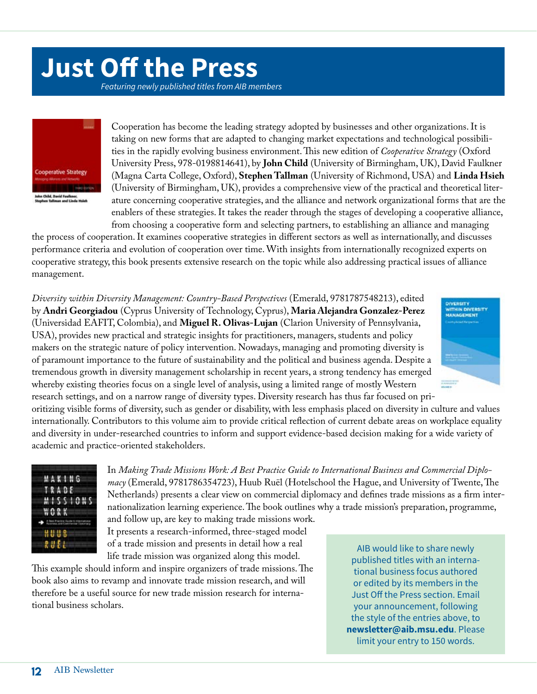## **Just Off the Press**

*Featuring newly published titles from AIB members*



Cooperation has become the leading strategy adopted by businesses and other organizations. It is taking on new forms that are adapted to changing market expectations and technological possibilities in the rapidly evolving business environment. This new edition of *Cooperative Strategy* (Oxford University Press, 978-0198814641), by **John Child** (University of Birmingham, UK), David Faulkner (Magna Carta College, Oxford), **Stephen Tallman** (University of Richmond, USA) and **Linda Hsieh** (University of Birmingham, UK), provides a comprehensive view of the practical and theoretical literature concerning cooperative strategies, and the alliance and network organizational forms that are the enablers of these strategies. It takes the reader through the stages of developing a cooperative alliance, from choosing a cooperative form and selecting partners, to establishing an alliance and managing

the process of cooperation. It examines cooperative strategies in different sectors as well as internationally, and discusses performance criteria and evolution of cooperation over time. With insights from internationally recognized experts on cooperative strategy, this book presents extensive research on the topic while also addressing practical issues of alliance management.

*Diversity within Diversity Management: Country-Based Perspectives* (Emerald, 9781787548213), edited by **Andri Georgiadou** (Cyprus University of Technology, Cyprus), **Maria Alejandra Gonzalez-Perez** (Universidad EAFIT, Colombia), and **Miguel R. Olivas-Lujan** (Clarion University of Pennsylvania, USA), provides new practical and strategic insights for practitioners, managers, students and policy makers on the strategic nature of policy intervention. Nowadays, managing and promoting diversity is of paramount importance to the future of sustainability and the political and business agenda. Despite a tremendous growth in diversity management scholarship in recent years, a strong tendency has emerged whereby existing theories focus on a single level of analysis, using a limited range of mostly Western research settings, and on a narrow range of diversity types. Diversity research has thus far focused on pri-



oritizing visible forms of diversity, such as gender or disability, with less emphasis placed on diversity in culture and values internationally. Contributors to this volume aim to provide critical reflection of current debate areas on workplace equality and diversity in under-researched countries to inform and support evidence-based decision making for a wide variety of academic and practice-oriented stakeholders.



In *Making Trade Missions Work: A Best Practice Guide to International Business and Commercial Diplomacy* (Emerald, 9781786354723), Huub Ruël (Hotelschool the Hague, and University of Twente, The Netherlands) presents a clear view on commercial diplomacy and defines trade missions as a firm internationalization learning experience. The book outlines why a trade mission's preparation, programme,

and follow up, are key to making trade missions work. It presents a research-informed, three-staged model of a trade mission and presents in detail how a real life trade mission was organized along this model.

This example should inform and inspire organizers of trade missions. The book also aims to revamp and innovate trade mission research, and will therefore be a useful source for new trade mission research for international business scholars.

AIB would like to share newly published titles with an international business focus authored or edited by its members in the Just Off the Press section. Email your announcement, following the style of the entries above, to **[newsletter@aib.msu.edu](mailto:newsletter%40aib.msu.edu?subject=)**. Please limit your entry to 150 words.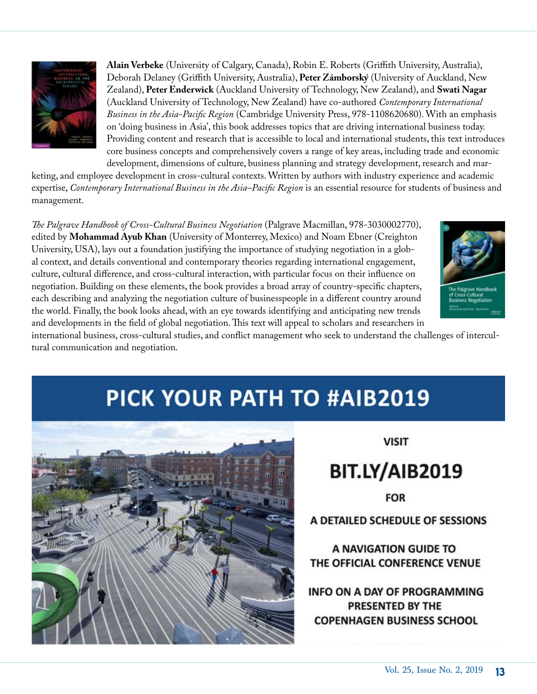

**Alain Verbeke** (University of Calgary, Canada), Robin E. Roberts (Griffith University, Australia), Deborah Delaney (Griffith University, Australia), **Peter Zámborský** (University of Auckland, New Zealand), **Peter Enderwick** (Auckland University of Technology, New Zealand), and **Swati Nagar** (Auckland University of Technology, New Zealand) have co-authored *Contemporary International Business in the Asia-Pacific Region* (Cambridge University Press, 978-1108620680). With an emphasis on 'doing business in Asia', this book addresses topics that are driving international business today. Providing content and research that is accessible to local and international students, this text introduces core business concepts and comprehensively covers a range of key areas, including trade and economic development, dimensions of culture, business planning and strategy development, research and mar-

keting, and employee development in cross-cultural contexts. Written by authors with industry experience and academic expertise, *Contemporary International Business in the Asia–Pacific Region* is an essential resource for students of business and management.

*The Palgrave Handbook of Cross-Cultural Business Negotiation* (Palgrave Macmillan, 978-3030002770), edited by **Mohammad Ayub Khan** (University of Monterrey, Mexico) and Noam Ebner (Creighton University, USA), lays out a foundation justifying the importance of studying negotiation in a global context, and details conventional and contemporary theories regarding international engagement, culture, cultural difference, and cross-cultural interaction, with particular focus on their influence on negotiation. Building on these elements, the book provides a broad array of country-specific chapters, each describing and analyzing the negotiation culture of businesspeople in a different country around the world. Finally, the book looks ahead, with an eye towards identifying and anticipating new trends and developments in the field of global negotiation. This text will appeal to scholars and researchers in



international business, cross-cultural studies, and conflict management who seek to understand the challenges of intercultural communication and negotiation.

## **PICK YOUR PATH TO #AIB2019**



**VISIT** 

### BIT.LY/AIB2019

**FOR** 

A DETAILED SCHEDULE OF SESSIONS

A NAVIGATION GUIDE TO THE OFFICIAL CONFERENCE VENUE

**INFO ON A DAY OF PROGRAMMING** PRESENTED BY THE **COPENHAGEN BUSINESS SCHOOL**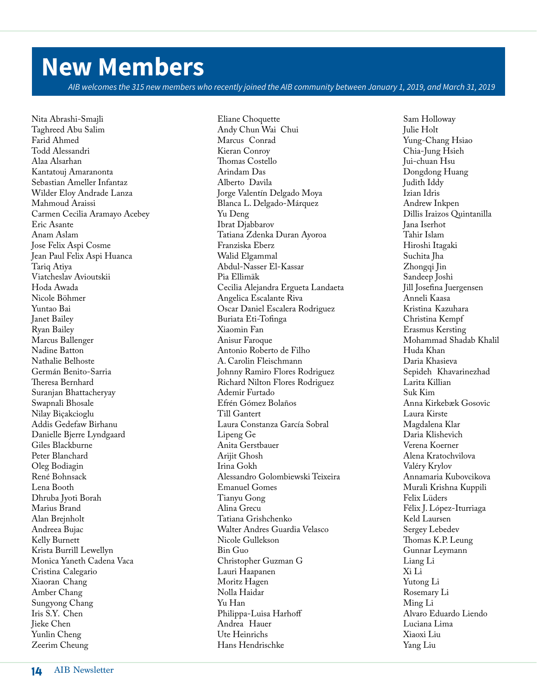## **New Members**

*AIB welcomes the 315 new members who recently joined the AIB community between January 1, 2019, and March 31, 2019*

Nita Abrashi-Smajli Taghreed Abu Salim Farid Ahmed Todd Alessandri Alaa Alsarhan Kantatouj Amaranonta Sebastian Ameller Infantaz Wilder Eloy Andrade Lanza Mahmoud Araissi Carmen Cecilia Aramayo Acebey Eric Asante Anam Aslam Jose Felix Aspi Cosme Jean Paul Felix Aspi Huanca Tariq Atiya Viatcheslav Avioutskii Hoda Awada Nicole Böhmer Yuntao Bai Janet Bailey Ryan Bailey Marcus Ballenger Nadine Batton Nathalie Belhoste Germán Benito-Sarria Theresa Bernhard Suranjan Bhattacheryay Swapnali Bhosale Nilay Biçakcioglu Addis Gedefaw Birhanu Danielle Bjerre Lyndgaard Giles Blackburne Peter Blanchard Oleg Bodiagin René Bohnsack Lena Booth Dhruba Ivoti Borah Marius Brand Alan Brejnholt Andreea Bujac Kelly Burnett Krista Burrill Lewellyn Monica Yaneth Cadena Vaca Cristina Calegario Xiaoran Chang Amber Chang Sungyong Chang Iris S.Y. Chen Jieke Chen Yunlin Cheng Zeerim Cheung

Eliane Choquette Andy Chun Wai Chui Marcus Conrad Kieran Conroy Thomas Costello Arindam Das Alberto Davila Jorge Valentín Delgado Moya Blanca L. Delgado-Márquez Yu Deng Ibrat Djabbarov Tatiana Zdenka Duran Ayoroa Franziska Eberz Walid Elgammal Abdul-Nasser El-Kassar Pia Ellimäk Cecilia Alejandra Ergueta Landaeta Angelica Escalante Riva Oscar Daniel Escalera Rodriguez Buriata Eti-Tofinga Xiaomin Fan Anisur Faroque Antonio Roberto de Filho A. Carolin Fleischmann Johnny Ramiro Flores Rodriguez Richard Nilton Flores Rodriguez Ademir Furtado Efrén Gómez Bolaños Till Gantert Laura Constanza García Sobral Lipeng Ge Anita Gerstbauer Arijit Ghosh Irina Gokh Alessandro Golombiewski Teixeira Emanuel Gomes Tianyu Gong Alina Grecu Tatiana Grishchenko Walter Andres Guardia Velasco Nicole Gullekson Bin Guo Christopher Guzman G Lauri Haapanen Moritz Hagen Nolla Haidar Yu Han Philippa-Luisa Harhoff Andrea Hauer Ute Heinrichs Hans Hendrischke

Sam Holloway Julie Holt Yung-Chang Hsiao Chia-Jung Hsieh Jui-chuan Hsu Dongdong Huang Judith Iddy Izian Idris Andrew Inkpen Dillis Iraizos Quintanilla Jana Iserhot Tahir Islam Hiroshi Itagaki Suchita Jha Zhongqi Jin Sandeep Joshi Jill Josefina Juergensen Anneli Kaasa Kristina Kazuhara Christina Kempf Erasmus Kersting Mohammad Shadab Khalil Huda Khan Daria Khasieva Sepideh Khavarinezhad Larita Killian Suk Kim Anna Kirkebæk Gosovic Laura Kirste Magdalena Klar Daria Klishevich Verena Koerner Alena Kratochvilova Valéry Krylov Annamaria Kubovcikova Murali Krishna Kuppili Felix Lüders Félix J. López-Iturriaga Keld Laursen Sergey Lebedev Thomas K.P. Leung Gunnar Leymann Liang Li Xi Li Yutong Li Rosemary Li Ming Li Alvaro Eduardo Liendo Luciana Lima Xiaoxi Liu Yang Liu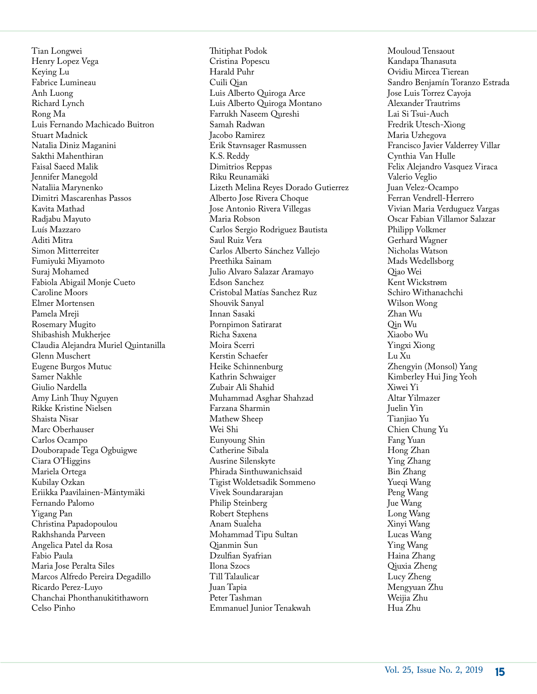Tian Longwei Henry Lopez Vega Keying Lu Fabrice Lumineau Anh Luong Richard Lynch Rong Ma Luis Fernando Machicado Buitron Stuart Madnick Natalia Diniz Maganini Sakthi Mahenthiran Faisal Saeed Malik Jennifer Manegold Nataliia Marynenko Dimitri Mascarenhas Passos Kavita Mathad Radjabu Mayuto Luís Mazzaro Aditi Mitra Simon Mitterreiter Fumiyuki Miyamoto Suraj Mohamed Fabiola Abigail Monje Cueto Caroline Moors Elmer Mortensen Pamela Mreji Rosemary Mugito Shibashish Mukherjee Claudia Alejandra Muriel Quintanilla Glenn Muschert Eugene Burgos Mutuc Samer Nakhle Giulio Nardella Amy Linh Thuy Nguyen Rikke Kristine Nielsen Shaista Nisar Marc Oberhauser Carlos Ocampo Douborapade Tega Ogbuigwe Ciara O'Higgins Mariela Ortega Kubilay Ozkan Eriikka Paavilainen-Mäntymäki Fernando Palomo Yigang Pan Christina Papadopoulou Rakhshanda Parveen Angelica Patel da Rosa Fabio Paula Maria Jose Peralta Siles Marcos Alfredo Pereira Degadillo Ricardo Perez-Luyo Chanchai Phonthanukitithaworn Celso Pinho

Thitiphat Podok Cristina Popescu Harald Puhr Cuili Qian Luis Alberto Quiroga Arce Luis Alberto Quiroga Montano Farrukh Naseem Qureshi Samah Radwan Jacobo Ramirez Erik Stavnsager Rasmussen K.S. Reddy Dimitrios Reppas Riku Reunamäki Lizeth Melina Reyes Dorado Gutierrez Alberto Jose Rivera Choque Jose Antonio Rivera Villegas Maria Robson Carlos Sergio Rodriguez Bautista Saul Ruiz Vera Carlos Alberto Sánchez Vallejo Preethika Sainam Julio Alvaro Salazar Aramayo Edson Sanchez Cristobal Matías Sanchez Ruz Shouvik Sanyal Innan Sasaki Pornpimon Satirarat Richa Saxena Moira Scerri Kerstin Schaefer Heike Schinnenburg Kathrin Schwaiger Zubair Ali Shahid Muhammad Asghar Shahzad Farzana Sharmin Mathew Sheep Wei Shi Eunyoung Shin Catherine Sibala Ausrine Silenskyte Phirada Sinthuwanichsaid Tigist Woldetsadik Sommeno Vivek Soundararajan Philip Steinberg Robert Stephens Anam Sualeha Mohammad Tipu Sultan Qianmin Sun Dzulfian Syafrian Ilona Szocs Till Talaulicar Juan Tapia Peter Tashman Emmanuel Junior Tenakwah

Mouloud Tensaout Kandapa Thanasuta Ovidiu Mircea Tierean Sandro Benjamín Toranzo Estrada Jose Luis Torrez Cayoja Alexander Trautrims Lai Si Tsui-Auch Fredrik Utesch-Xiong Maria Uzhegova Francisco Javier Valderrey Villar Cynthia Van Hulle Felix Alejandro Vasquez Viraca Valerio Veglio Juan Velez-Ocampo Ferran Vendrell-Herrero Vivian Maria Verduguez Vargas Oscar Fabian Villamor Salazar Philipp Volkmer Gerhard Wagner Nicholas Watson Mads Wedellsborg Qiao Wei Kent Wickstrøm Schiro Withanachchi Wilson Wong Zhan Wu Qin Wu Xiaobo Wu Yingxi Xiong Lu Xu Zhengyin (Monsol) Yang Kimberley Hui Jing Yeoh Xiwei Yi Altar Yilmazer Juelin Yin Tianjiao Yu Chien Chung Yu Fang Yuan Hong Zhan Ying Zhang Bin Zhang Yueqi Wang Peng Wang Jue Wang Long Wang Xinyi Wang Lucas Wang Ying Wang Haina Zhang Qiuxia Zheng Lucy Zheng Mengyuan Zhu Weijia Zhu Hua Zhu